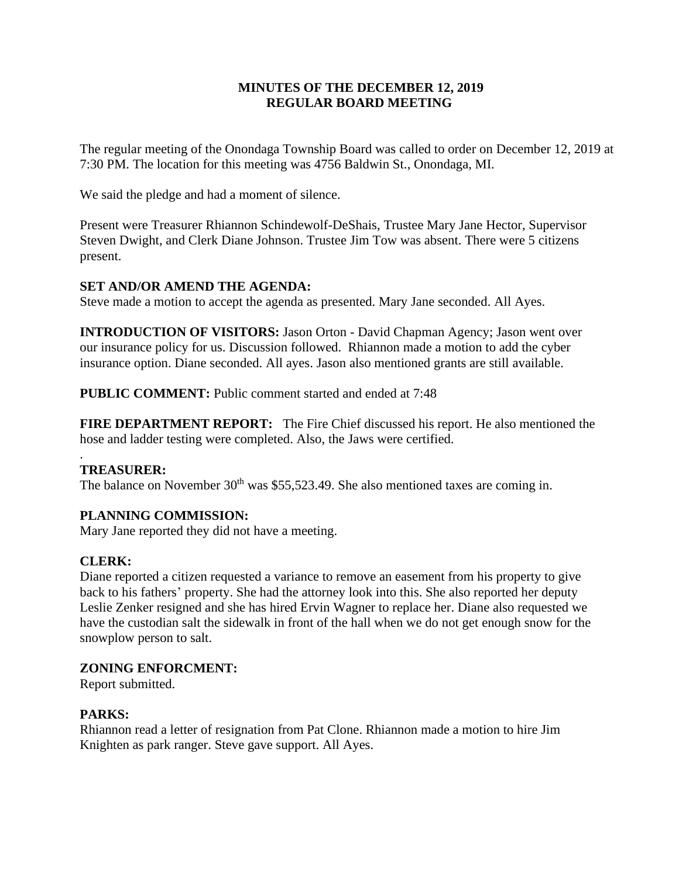# **MINUTES OF THE DECEMBER 12, 2019 REGULAR BOARD MEETING**

The regular meeting of the Onondaga Township Board was called to order on December 12, 2019 at 7:30 PM. The location for this meeting was 4756 Baldwin St., Onondaga, MI.

We said the pledge and had a moment of silence.

Present were Treasurer Rhiannon Schindewolf-DeShais, Trustee Mary Jane Hector, Supervisor Steven Dwight, and Clerk Diane Johnson. Trustee Jim Tow was absent. There were 5 citizens present.

# **SET AND/OR AMEND THE AGENDA:**

Steve made a motion to accept the agenda as presented. Mary Jane seconded. All Ayes.

**INTRODUCTION OF VISITORS:** Jason Orton - David Chapman Agency; Jason went over our insurance policy for us. Discussion followed. Rhiannon made a motion to add the cyber insurance option. Diane seconded. All ayes. Jason also mentioned grants are still available.

**PUBLIC COMMENT:** Public comment started and ended at 7:48

**FIRE DEPARTMENT REPORT:** The Fire Chief discussed his report. He also mentioned the hose and ladder testing were completed. Also, the Jaws were certified.

#### . **TREASURER:**

The balance on November  $30<sup>th</sup>$  was \$55,523.49. She also mentioned taxes are coming in.

# **PLANNING COMMISSION:**

Mary Jane reported they did not have a meeting.

# **CLERK:**

Diane reported a citizen requested a variance to remove an easement from his property to give back to his fathers' property. She had the attorney look into this. She also reported her deputy Leslie Zenker resigned and she has hired Ervin Wagner to replace her. Diane also requested we have the custodian salt the sidewalk in front of the hall when we do not get enough snow for the snowplow person to salt.

# **ZONING ENFORCMENT:**

Report submitted.

# **PARKS:**

Rhiannon read a letter of resignation from Pat Clone. Rhiannon made a motion to hire Jim Knighten as park ranger. Steve gave support. All Ayes.